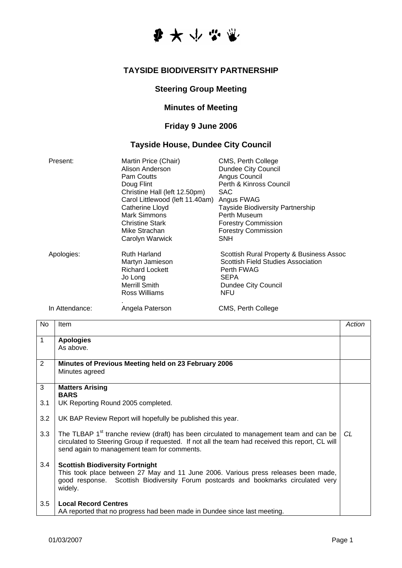

#### **TAYSIDE BIODIVERSITY PARTNERSHIP**

## **Steering Group Meeting**

### **Minutes of Meeting**

# **Friday 9 June 2006**

### **Tayside House, Dundee City Council**

| Present:       | Martin Price (Chair)<br>Alison Anderson<br><b>Pam Coutts</b><br>Doug Flint<br>Christine Hall (left 12.50pm)<br>Carol Littlewood (left 11.40am)<br>Catherine Lloyd<br>Mark Simmons<br><b>Christine Stark</b><br>Mike Strachan<br>Carolyn Warwick | CMS, Perth College<br><b>Dundee City Council</b><br>Angus Council<br>Perth & Kinross Council<br><b>SAC</b><br>Angus FWAG<br><b>Tayside Biodiversity Partnership</b><br>Perth Museum<br><b>Forestry Commission</b><br><b>Forestry Commission</b><br><b>SNH</b> |
|----------------|-------------------------------------------------------------------------------------------------------------------------------------------------------------------------------------------------------------------------------------------------|---------------------------------------------------------------------------------------------------------------------------------------------------------------------------------------------------------------------------------------------------------------|
| Apologies:     | <b>Ruth Harland</b><br>Martyn Jamieson<br><b>Richard Lockett</b><br>Jo Long<br>Merrill Smith<br>Ross Williams                                                                                                                                   | Scottish Rural Property & Business Assoc<br>Scottish Field Studies Association<br>Perth FWAG<br><b>SEPA</b><br>Dundee City Council<br>NFU                                                                                                                     |
| In Attendance: | Angela Paterson                                                                                                                                                                                                                                 | CMS, Perth College                                                                                                                                                                                                                                            |

| <b>No</b>    | Item                                                                                                                                                                                                                                                  | Action |
|--------------|-------------------------------------------------------------------------------------------------------------------------------------------------------------------------------------------------------------------------------------------------------|--------|
| $\mathbf{1}$ | <b>Apologies</b><br>As above.                                                                                                                                                                                                                         |        |
| 2            | Minutes of Previous Meeting held on 23 February 2006<br>Minutes agreed                                                                                                                                                                                |        |
| 3            | <b>Matters Arising</b><br><b>BARS</b>                                                                                                                                                                                                                 |        |
| 3.1          | UK Reporting Round 2005 completed.                                                                                                                                                                                                                    |        |
| 3.2          | UK BAP Review Report will hopefully be published this year.                                                                                                                                                                                           |        |
| 3.3          | The TLBAP 1 <sup>st</sup> tranche review (draft) has been circulated to management team and can be<br>circulated to Steering Group if requested. If not all the team had received this report, CL will<br>send again to management team for comments. | CL.    |
| 3.4          | <b>Scottish Biodiversity Fortnight</b><br>This took place between 27 May and 11 June 2006. Various press releases been made,<br>good response. Scottish Biodiversity Forum postcards and bookmarks circulated very<br>widely.                         |        |
| 3.5          | <b>Local Record Centres</b><br>AA reported that no progress had been made in Dundee since last meeting.                                                                                                                                               |        |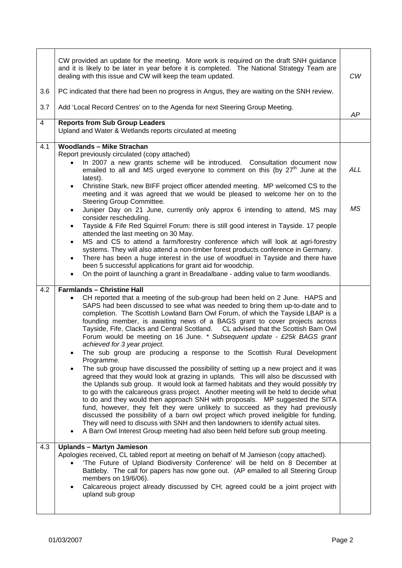| 3.6<br>3.7 | CW provided an update for the meeting. More work is required on the draft SNH guidance<br>and it is likely to be later in year before it is completed. The National Strategy Team are<br>dealing with this issue and CW will keep the team updated.<br>PC indicated that there had been no progress in Angus, they are waiting on the SNH review.                                                                                                                                                                                                                                                                                                                                                                                                                                                                                                                                                                                                                                                                                                                                                                                                                                                                                                                                                                                                                                                                                                                          | <b>CW</b>  |
|------------|----------------------------------------------------------------------------------------------------------------------------------------------------------------------------------------------------------------------------------------------------------------------------------------------------------------------------------------------------------------------------------------------------------------------------------------------------------------------------------------------------------------------------------------------------------------------------------------------------------------------------------------------------------------------------------------------------------------------------------------------------------------------------------------------------------------------------------------------------------------------------------------------------------------------------------------------------------------------------------------------------------------------------------------------------------------------------------------------------------------------------------------------------------------------------------------------------------------------------------------------------------------------------------------------------------------------------------------------------------------------------------------------------------------------------------------------------------------------------|------------|
|            | Add 'Local Record Centres' on to the Agenda for next Steering Group Meeting.                                                                                                                                                                                                                                                                                                                                                                                                                                                                                                                                                                                                                                                                                                                                                                                                                                                                                                                                                                                                                                                                                                                                                                                                                                                                                                                                                                                               | AP         |
| 4          | <b>Reports from Sub Group Leaders</b><br>Upland and Water & Wetlands reports circulated at meeting                                                                                                                                                                                                                                                                                                                                                                                                                                                                                                                                                                                                                                                                                                                                                                                                                                                                                                                                                                                                                                                                                                                                                                                                                                                                                                                                                                         |            |
| 4.1        | <b>Woodlands - Mike Strachan</b><br>Report previously circulated (copy attached)<br>In 2007 a new grants scheme will be introduced. Consultation document now<br>emailed to all and MS urged everyone to comment on this (by 27 <sup>th</sup> June at the<br>latest).<br>Christine Stark, new BIFF project officer attended meeting. MP welcomed CS to the<br>$\bullet$<br>meeting and it was agreed that we would be pleased to welcome her on to the                                                                                                                                                                                                                                                                                                                                                                                                                                                                                                                                                                                                                                                                                                                                                                                                                                                                                                                                                                                                                     | <b>ALL</b> |
|            | Steering Group Committee.<br>Juniper Day on 21 June, currently only approx 6 intending to attend, MS may<br>$\bullet$<br>consider rescheduling.<br>Tayside & Fife Red Squirrel Forum: there is still good interest in Tayside. 17 people<br>$\bullet$<br>attended the last meeting on 30 May.<br>MS and CS to attend a farm/forestry conference which will look at agri-forestry<br>$\bullet$<br>systems. They will also attend a non-timber forest products conference in Germany.<br>There has been a huge interest in the use of woodfuel in Tayside and there have<br>$\bullet$<br>been 5 successful applications for grant aid for woodchip.<br>On the point of launching a grant in Breadalbane - adding value to farm woodlands.<br>$\bullet$                                                                                                                                                                                                                                                                                                                                                                                                                                                                                                                                                                                                                                                                                                                       | <b>MS</b>  |
| 4.2        | <b>Farmlands - Christine Hall</b><br>CH reported that a meeting of the sub-group had been held on 2 June. HAPS and<br>SAPS had been discussed to see what was needed to bring them up-to-date and to<br>completion. The Scottish Lowland Barn Owl Forum, of which the Tayside LBAP is a<br>founding member, is awaiting news of a BAGS grant to cover projects across<br>Tayside, Fife, Clacks and Central Scotland.  CL advised that the Scottish Barn Owl<br>Forum would be meeting on 16 June. * Subsequent update - £25k BAGS grant<br>achieved for 3 year project.<br>The sub group are producing a response to the Scottish Rural Development<br>Programme.<br>The sub group have discussed the possibility of setting up a new project and it was<br>$\bullet$<br>agreed that they would look at grazing in uplands. This will also be discussed with<br>the Uplands sub group. It would look at farmed habitats and they would possibly try<br>to go with the calcareous grass project. Another meeting will be held to decide what<br>to do and they would then approach SNH with proposals. MP suggested the SITA<br>fund, however, they felt they were unlikely to succeed as they had previously<br>discussed the possibility of a barn owl project which proved ineligible for funding.<br>They will need to discuss with SNH and then landowners to identify actual sites.<br>A Barn Owl Interest Group meeting had also been held before sub group meeting. |            |
| 4.3        | <b>Uplands - Martyn Jamieson</b><br>Apologies received, CL tabled report at meeting on behalf of M Jamieson (copy attached).<br>'The Future of Upland Biodiversity Conference' will be held on 8 December at<br>Battleby. The call for papers has now gone out. (AP emailed to all Steering Group<br>members on 19/6/06).<br>Calcareous project already discussed by CH; agreed could be a joint project with<br>$\bullet$<br>upland sub group                                                                                                                                                                                                                                                                                                                                                                                                                                                                                                                                                                                                                                                                                                                                                                                                                                                                                                                                                                                                                             |            |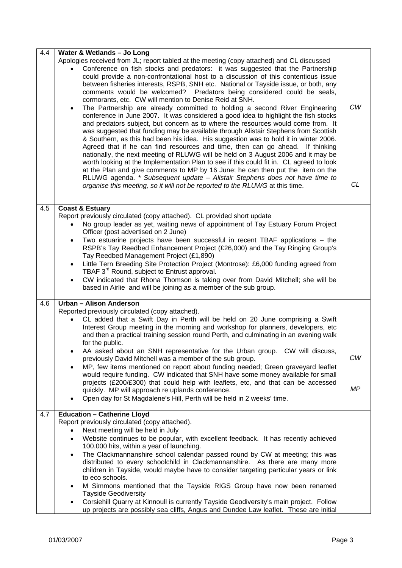| 4.4 | Water & Wetlands - Jo Long                                                                                                                                                                                                                                                                                                                                                                                                                                                                                                                                                                                                                                                                                                                                                                                                                                                                                                                                                                                                                                                                                                                                                                                                                                                                                                                                                                                                                                             |                 |
|-----|------------------------------------------------------------------------------------------------------------------------------------------------------------------------------------------------------------------------------------------------------------------------------------------------------------------------------------------------------------------------------------------------------------------------------------------------------------------------------------------------------------------------------------------------------------------------------------------------------------------------------------------------------------------------------------------------------------------------------------------------------------------------------------------------------------------------------------------------------------------------------------------------------------------------------------------------------------------------------------------------------------------------------------------------------------------------------------------------------------------------------------------------------------------------------------------------------------------------------------------------------------------------------------------------------------------------------------------------------------------------------------------------------------------------------------------------------------------------|-----------------|
|     | Apologies received from JL; report tabled at the meeting (copy attached) and CL discussed<br>Conference on fish stocks and predators: it was suggested that the Partnership<br>could provide a non-confrontational host to a discussion of this contentious issue<br>between fisheries interests, RSPB, SNH etc. National or Tayside issue, or both, any<br>comments would be welcomed? Predators being considered could be seals,<br>cormorants, etc. CW will mention to Denise Reid at SNH.<br>The Partnership are already committed to holding a second River Engineering<br>$\bullet$<br>conference in June 2007. It was considered a good idea to highlight the fish stocks<br>and predators subject, but concern as to where the resources would come from. It<br>was suggested that funding may be available through Alistair Stephens from Scottish<br>& Southern, as this had been his idea. His suggestion was to hold it in winter 2006.<br>Agreed that if he can find resources and time, then can go ahead. If thinking<br>nationally, the next meeting of RLUWG will be held on 3 August 2006 and it may be<br>worth looking at the Implementation Plan to see if this could fit in. CL agreed to look<br>at the Plan and give comments to MP by 16 June; he can then put the item on the<br>RLUWG agenda. * Subsequent update - Alistair Stephens does not have time to<br>organise this meeting, so it will not be reported to the RLUWG at this time. | <b>CW</b><br>CL |
| 4.5 | <b>Coast &amp; Estuary</b>                                                                                                                                                                                                                                                                                                                                                                                                                                                                                                                                                                                                                                                                                                                                                                                                                                                                                                                                                                                                                                                                                                                                                                                                                                                                                                                                                                                                                                             |                 |
|     | Report previously circulated (copy attached). CL provided short update<br>No group leader as yet, waiting news of appointment of Tay Estuary Forum Project                                                                                                                                                                                                                                                                                                                                                                                                                                                                                                                                                                                                                                                                                                                                                                                                                                                                                                                                                                                                                                                                                                                                                                                                                                                                                                             |                 |
|     | Officer (post advertised on 2 June)<br>Two estuarine projects have been successful in recent TBAF applications - the<br>$\bullet$                                                                                                                                                                                                                                                                                                                                                                                                                                                                                                                                                                                                                                                                                                                                                                                                                                                                                                                                                                                                                                                                                                                                                                                                                                                                                                                                      |                 |
|     | RSPB's Tay Reedbed Enhancement Project (£26,000) and the Tay Ringing Group's<br>Tay Reedbed Management Project (£1,890)                                                                                                                                                                                                                                                                                                                                                                                                                                                                                                                                                                                                                                                                                                                                                                                                                                                                                                                                                                                                                                                                                                                                                                                                                                                                                                                                                |                 |
|     | Little Tern Breeding Site Protection Project (Montrose): £6,000 funding agreed from<br>$\bullet$<br>TBAF 3 <sup>rd</sup> Round, subject to Entrust approval.                                                                                                                                                                                                                                                                                                                                                                                                                                                                                                                                                                                                                                                                                                                                                                                                                                                                                                                                                                                                                                                                                                                                                                                                                                                                                                           |                 |
|     | CW indicated that Rhona Thomson is taking over from David Mitchell; she will be<br>$\bullet$<br>based in Airlie and will be joining as a member of the sub group.                                                                                                                                                                                                                                                                                                                                                                                                                                                                                                                                                                                                                                                                                                                                                                                                                                                                                                                                                                                                                                                                                                                                                                                                                                                                                                      |                 |
|     |                                                                                                                                                                                                                                                                                                                                                                                                                                                                                                                                                                                                                                                                                                                                                                                                                                                                                                                                                                                                                                                                                                                                                                                                                                                                                                                                                                                                                                                                        |                 |
| 4.6 | Urban - Alison Anderson<br>Reported previously circulated (copy attached).                                                                                                                                                                                                                                                                                                                                                                                                                                                                                                                                                                                                                                                                                                                                                                                                                                                                                                                                                                                                                                                                                                                                                                                                                                                                                                                                                                                             |                 |
|     | CL added that a Swift Day in Perth will be held on 20 June comprising a Swift<br>Interest Group meeting in the morning and workshop for planners, developers, etc<br>and then a practical training session round Perth, and culminating in an evening walk<br>for the public.                                                                                                                                                                                                                                                                                                                                                                                                                                                                                                                                                                                                                                                                                                                                                                                                                                                                                                                                                                                                                                                                                                                                                                                          |                 |
|     | AA asked about an SNH representative for the Urban group. CW will discuss,                                                                                                                                                                                                                                                                                                                                                                                                                                                                                                                                                                                                                                                                                                                                                                                                                                                                                                                                                                                                                                                                                                                                                                                                                                                                                                                                                                                             | CW              |
|     | previously David Mitchell was a member of the sub group.<br>MP, few items mentioned on report about funding needed; Green graveyard leaflet                                                                                                                                                                                                                                                                                                                                                                                                                                                                                                                                                                                                                                                                                                                                                                                                                                                                                                                                                                                                                                                                                                                                                                                                                                                                                                                            |                 |
|     | would require funding. CW indicated that SNH have some money available for small<br>projects (£200/£300) that could help with leaflets, etc, and that can be accessed                                                                                                                                                                                                                                                                                                                                                                                                                                                                                                                                                                                                                                                                                                                                                                                                                                                                                                                                                                                                                                                                                                                                                                                                                                                                                                  |                 |
|     | quickly. MP will approach re uplands conference.<br>Open day for St Magdalene's Hill, Perth will be held in 2 weeks' time.                                                                                                                                                                                                                                                                                                                                                                                                                                                                                                                                                                                                                                                                                                                                                                                                                                                                                                                                                                                                                                                                                                                                                                                                                                                                                                                                             | ΜP              |
| 4.7 | <b>Education - Catherine Lloyd</b>                                                                                                                                                                                                                                                                                                                                                                                                                                                                                                                                                                                                                                                                                                                                                                                                                                                                                                                                                                                                                                                                                                                                                                                                                                                                                                                                                                                                                                     |                 |
|     | Report previously circulated (copy attached).<br>Next meeting will be held in July                                                                                                                                                                                                                                                                                                                                                                                                                                                                                                                                                                                                                                                                                                                                                                                                                                                                                                                                                                                                                                                                                                                                                                                                                                                                                                                                                                                     |                 |
|     | Website continues to be popular, with excellent feedback. It has recently achieved<br>$\bullet$                                                                                                                                                                                                                                                                                                                                                                                                                                                                                                                                                                                                                                                                                                                                                                                                                                                                                                                                                                                                                                                                                                                                                                                                                                                                                                                                                                        |                 |
|     | 100,000 hits, within a year of launching.<br>The Clackmannanshire school calendar passed round by CW at meeting; this was<br>$\bullet$                                                                                                                                                                                                                                                                                                                                                                                                                                                                                                                                                                                                                                                                                                                                                                                                                                                                                                                                                                                                                                                                                                                                                                                                                                                                                                                                 |                 |
|     | distributed to every schoolchild in Clackmannanshire. As there are many more<br>children in Tayside, would maybe have to consider targeting particular years or link<br>to eco schools.                                                                                                                                                                                                                                                                                                                                                                                                                                                                                                                                                                                                                                                                                                                                                                                                                                                                                                                                                                                                                                                                                                                                                                                                                                                                                |                 |
|     | M Simmons mentioned that the Tayside RIGS Group have now been renamed<br><b>Tayside Geodiversity</b>                                                                                                                                                                                                                                                                                                                                                                                                                                                                                                                                                                                                                                                                                                                                                                                                                                                                                                                                                                                                                                                                                                                                                                                                                                                                                                                                                                   |                 |
|     | Corsiehill Quarry at Kinnoull is currently Tayside Geodiversity's main project. Follow<br>up projects are possibly sea cliffs, Angus and Dundee Law leaflet. These are initial                                                                                                                                                                                                                                                                                                                                                                                                                                                                                                                                                                                                                                                                                                                                                                                                                                                                                                                                                                                                                                                                                                                                                                                                                                                                                         |                 |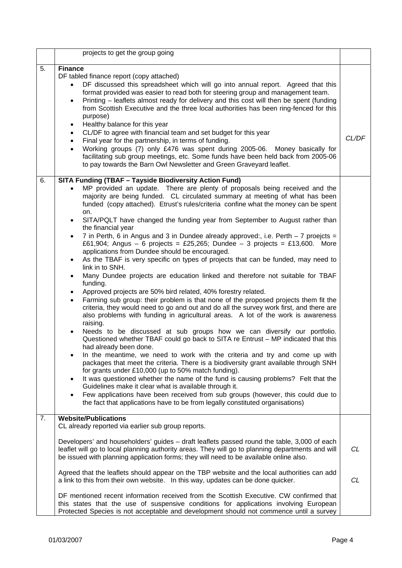|    | projects to get the group going                                                                                                                                                                                                                                                                                                                                                                                                                                                                                                                                                                                                                                                                                                                                                                                                                                                                                                                                                                                                                                                                                                                                                                                                                                                                                                                                                                                                                                                                                                                                                                                                                                                                                                                                                                                                                                                                                                                                                                                                                                                 |           |
|----|---------------------------------------------------------------------------------------------------------------------------------------------------------------------------------------------------------------------------------------------------------------------------------------------------------------------------------------------------------------------------------------------------------------------------------------------------------------------------------------------------------------------------------------------------------------------------------------------------------------------------------------------------------------------------------------------------------------------------------------------------------------------------------------------------------------------------------------------------------------------------------------------------------------------------------------------------------------------------------------------------------------------------------------------------------------------------------------------------------------------------------------------------------------------------------------------------------------------------------------------------------------------------------------------------------------------------------------------------------------------------------------------------------------------------------------------------------------------------------------------------------------------------------------------------------------------------------------------------------------------------------------------------------------------------------------------------------------------------------------------------------------------------------------------------------------------------------------------------------------------------------------------------------------------------------------------------------------------------------------------------------------------------------------------------------------------------------|-----------|
| 5. | <b>Finance</b><br>DF tabled finance report (copy attached)<br>DF discussed this spreadsheet which will go into annual report. Agreed that this<br>format provided was easier to read both for steering group and management team.<br>Printing - leaflets almost ready for delivery and this cost will then be spent (funding<br>$\bullet$<br>from Scottish Executive and the three local authorities has been ring-fenced for this<br>purpose)<br>Healthy balance for this year<br>$\bullet$<br>CL/DF to agree with financial team and set budget for this year<br>$\bullet$<br>Final year for the partnership, in terms of funding.<br>$\bullet$<br>Working groups (7) only £476 was spent during 2005-06. Money basically for<br>$\bullet$<br>facilitating sub group meetings, etc. Some funds have been held back from 2005-06<br>to pay towards the Barn Owl Newsletter and Green Graveyard leaflet.                                                                                                                                                                                                                                                                                                                                                                                                                                                                                                                                                                                                                                                                                                                                                                                                                                                                                                                                                                                                                                                                                                                                                                        | CL/DF     |
| 6. | <b>SITA Funding (TBAF - Tayside Biodiversity Action Fund)</b><br>MP provided an update. There are plenty of proposals being received and the<br>$\bullet$<br>majority are being funded. CL circulated summary at meeting of what has been<br>funded (copy attached). Etrust's rules/criteria confine what the money can be spent<br>on.<br>SITA/PQLT have changed the funding year from September to August rather than<br>$\bullet$<br>the financial year<br>7 in Perth, 6 in Angus and 3 in Dundee already approved:, i.e. Perth - 7 proejcts =<br>$\bullet$<br>£61,904; Angus - 6 projects = £25,265; Dundee - 3 projects = £13,600. More<br>applications from Dundee should be encouraged.<br>As the TBAF is very specific on types of projects that can be funded, may need to<br>$\bullet$<br>link in to SNH.<br>Many Dundee projects are education linked and therefore not suitable for TBAF<br>$\bullet$<br>funding.<br>Approved projects are 50% bird related, 40% forestry related.<br>$\bullet$<br>Farming sub group: their problem is that none of the proposed projects them fit the<br>criteria, they would need to go and out and do all the survey work first, and there are<br>also problems with funding in agricultural areas. A lot of the work is awareness<br>raising.<br>Needs to be discussed at sub groups how we can diversify our portfolio.<br>$\bullet$<br>Questioned whether TBAF could go back to SITA re Entrust - MP indicated that this<br>had already been done.<br>In the meantime, we need to work with the criteria and try and come up with<br>packages that meet the criteria. There is a biodiversity grant available through SNH<br>for grants under £10,000 (up to 50% match funding).<br>It was questioned whether the name of the fund is causing problems? Felt that the<br>$\bullet$<br>Guidelines make it clear what is available through it.<br>Few applications have been received from sub groups (however, this could due to<br>$\bullet$<br>the fact that applications have to be from legally constituted organisations) |           |
| 7. | <b>Website/Publications</b><br>CL already reported via earlier sub group reports.                                                                                                                                                                                                                                                                                                                                                                                                                                                                                                                                                                                                                                                                                                                                                                                                                                                                                                                                                                                                                                                                                                                                                                                                                                                                                                                                                                                                                                                                                                                                                                                                                                                                                                                                                                                                                                                                                                                                                                                               |           |
|    | Developers' and householders' guides - draft leaflets passed round the table, 3,000 of each<br>leaflet will go to local planning authority areas. They will go to planning departments and will<br>be issued with planning application forms; they will need to be available online also.                                                                                                                                                                                                                                                                                                                                                                                                                                                                                                                                                                                                                                                                                                                                                                                                                                                                                                                                                                                                                                                                                                                                                                                                                                                                                                                                                                                                                                                                                                                                                                                                                                                                                                                                                                                       | <b>CL</b> |
|    | Agreed that the leaflets should appear on the TBP website and the local authorities can add<br>a link to this from their own website. In this way, updates can be done quicker.                                                                                                                                                                                                                                                                                                                                                                                                                                                                                                                                                                                                                                                                                                                                                                                                                                                                                                                                                                                                                                                                                                                                                                                                                                                                                                                                                                                                                                                                                                                                                                                                                                                                                                                                                                                                                                                                                                 | <b>CL</b> |
|    | DF mentioned recent information received from the Scottish Executive. CW confirmed that<br>this states that the use of suspensive conditions for applications involving European<br>Protected Species is not acceptable and development should not commence until a survey                                                                                                                                                                                                                                                                                                                                                                                                                                                                                                                                                                                                                                                                                                                                                                                                                                                                                                                                                                                                                                                                                                                                                                                                                                                                                                                                                                                                                                                                                                                                                                                                                                                                                                                                                                                                      |           |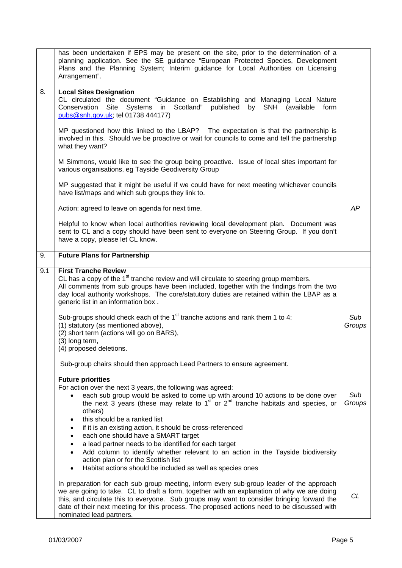|     | has been undertaken if EPS may be present on the site, prior to the determination of a<br>planning application. See the SE guidance "European Protected Species, Development<br>Plans and the Planning System; Interim guidance for Local Authorities on Licensing<br>Arrangement".                                                                                                                             |               |
|-----|-----------------------------------------------------------------------------------------------------------------------------------------------------------------------------------------------------------------------------------------------------------------------------------------------------------------------------------------------------------------------------------------------------------------|---------------|
| 8.  | <b>Local Sites Designation</b><br>CL circulated the document "Guidance on Establishing and Managing Local Nature<br>Conservation Site Systems in Scotland" published<br>by SNH (available<br>form<br>pubs@snh.gov.uk; tel 01738 444177)                                                                                                                                                                         |               |
|     | MP questioned how this linked to the LBAP? The expectation is that the partnership is<br>involved in this. Should we be proactive or wait for councils to come and tell the partnership<br>what they want?                                                                                                                                                                                                      |               |
|     | M Simmons, would like to see the group being proactive. Issue of local sites important for<br>various organisations, eg Tayside Geodiversity Group                                                                                                                                                                                                                                                              |               |
|     | MP suggested that it might be useful if we could have for next meeting whichever councils<br>have list/maps and which sub groups they link to.                                                                                                                                                                                                                                                                  |               |
|     | Action: agreed to leave on agenda for next time.                                                                                                                                                                                                                                                                                                                                                                | AP            |
|     | Helpful to know when local authorities reviewing local development plan. Document was<br>sent to CL and a copy should have been sent to everyone on Steering Group. If you don't<br>have a copy, please let CL know.                                                                                                                                                                                            |               |
| 9.  | <b>Future Plans for Partnership</b>                                                                                                                                                                                                                                                                                                                                                                             |               |
| 9.1 | <b>First Tranche Review</b><br>CL has a copy of the 1 <sup>st</sup> tranche review and will circulate to steering group members.<br>All comments from sub groups have been included, together with the findings from the two<br>day local authority workshops. The core/statutory duties are retained within the LBAP as a<br>generic list in an information box.                                               |               |
|     | Sub-groups should check each of the $1st$ tranche actions and rank them 1 to 4:<br>(1) statutory (as mentioned above),<br>(2) short term (actions will go on BARS),<br>(3) long term,<br>(4) proposed deletions.                                                                                                                                                                                                | Sub<br>Groups |
|     | Sub-group chairs should then approach Lead Partners to ensure agreement.                                                                                                                                                                                                                                                                                                                                        |               |
|     | <b>Future priorities</b><br>For action over the next 3 years, the following was agreed:                                                                                                                                                                                                                                                                                                                         |               |
|     | each sub group would be asked to come up with around 10 actions to be done over<br>the next $\overline{3}$ years (these may relate to $1st$ or $2nd$ tranche habitats and species, or<br>others)                                                                                                                                                                                                                | Sub<br>Groups |
|     | this should be a ranked list<br>$\bullet$<br>if it is an existing action, it should be cross-referenced<br>$\bullet$                                                                                                                                                                                                                                                                                            |               |
|     | each one should have a SMART target<br>$\bullet$<br>a lead partner needs to be identified for each target<br>$\bullet$                                                                                                                                                                                                                                                                                          |               |
|     | Add column to identify whether relevant to an action in the Tayside biodiversity<br>$\bullet$<br>action plan or for the Scottish list                                                                                                                                                                                                                                                                           |               |
|     | Habitat actions should be included as well as species ones<br>$\bullet$                                                                                                                                                                                                                                                                                                                                         |               |
|     | In preparation for each sub group meeting, inform every sub-group leader of the approach<br>we are going to take. CL to draft a form, together with an explanation of why we are doing<br>this, and circulate this to everyone. Sub groups may want to consider bringing forward the<br>date of their next meeting for this process. The proposed actions need to be discussed with<br>nominated lead partners. | CL            |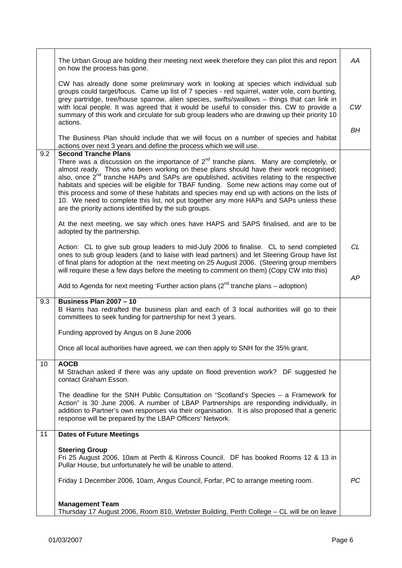|     | The Urban Group are holding their meeting next week therefore they can pilot this and report<br>on how the process has gone.                                                                                                                                                                                                                                                                                                                                                                                                                                                                                                                   | ΑA        |
|-----|------------------------------------------------------------------------------------------------------------------------------------------------------------------------------------------------------------------------------------------------------------------------------------------------------------------------------------------------------------------------------------------------------------------------------------------------------------------------------------------------------------------------------------------------------------------------------------------------------------------------------------------------|-----------|
|     | CW has already done some preliminary work in looking at species which individual sub<br>groups could target/focus. Came up list of 7 species - red squirrel, water vole, corn bunting,<br>grey partridge, tree/house sparrow, alien species, swifts/swallows - things that can link in<br>with local people. It was agreed that it would be useful to consider this. CW to provide a<br>summary of this work and circulate for sub group leaders who are drawing up their priority 10                                                                                                                                                          | CW        |
|     | actions.<br>The Business Plan should include that we will focus on a number of species and habitat<br>actions over next 3 years and define the process which we will use.                                                                                                                                                                                                                                                                                                                                                                                                                                                                      | BH        |
| 9.2 | <b>Second Tranche Plans</b>                                                                                                                                                                                                                                                                                                                                                                                                                                                                                                                                                                                                                    |           |
|     | There was a discussion on the importance of $2^{nd}$ tranche plans. Many are completely, or<br>almost ready. Thos who been working on these plans should have their work recognised;<br>also, once 2 <sup>nd</sup> tranche HAPs and SAPs are opublished, activities relating to the respective<br>habitats and species will be eligible for TBAF funding. Some new actions may come out of<br>this process and some of these habitats and species may end up with actions on the lists of<br>10. We need to complete this list, not put together any more HAPs and SAPs unless these<br>are the priority actions identified by the sub groups. |           |
|     | At the next meeting, we say which ones have HAPS and SAPS finalised, and are to be<br>adopted by the partnership.                                                                                                                                                                                                                                                                                                                                                                                                                                                                                                                              |           |
|     | Action: CL to give sub group leaders to mid-July 2006 to finalise. CL to send completed<br>ones to sub group leaders (and to liaise with lead partners) and let Steering Group have list<br>of final plans for adoption at the next meeting on 25 August 2006. (Steering group members                                                                                                                                                                                                                                                                                                                                                         | <b>CL</b> |
|     | will require these a few days before the meeting to comment on them) (Copy CW into this)<br>Add to Agenda for next meeting 'Further action plans $(2^{nd}$ tranche plans – adoption)                                                                                                                                                                                                                                                                                                                                                                                                                                                           | AP        |
| 9.3 | <b>Business Plan 2007 - 10</b>                                                                                                                                                                                                                                                                                                                                                                                                                                                                                                                                                                                                                 |           |
|     | B Harris has redrafted the business plan and each of 3 local authorities will go to their<br>committees to seek funding for partnership for next 3 years.                                                                                                                                                                                                                                                                                                                                                                                                                                                                                      |           |
|     | Funding approved by Angus on 8 June 2006                                                                                                                                                                                                                                                                                                                                                                                                                                                                                                                                                                                                       |           |
|     | Once all local authorities have agreed, we can then apply to SNH for the 35% grant.                                                                                                                                                                                                                                                                                                                                                                                                                                                                                                                                                            |           |
| 10  | <b>AOCB</b><br>M Strachan asked if there was any update on flood prevention work? DF suggested he<br>contact Graham Esson.                                                                                                                                                                                                                                                                                                                                                                                                                                                                                                                     |           |
|     | The deadline for the SNH Public Consultation on "Scotland's Species - a Framework for<br>Action" is 30 June 2006. A number of LBAP Partnerships are responding individually, in<br>addition to Partner's own responses via their organisation. It is also proposed that a generic<br>response will be prepared by the LBAP Officers' Network.                                                                                                                                                                                                                                                                                                  |           |
| 11  | <b>Dates of Future Meetings</b>                                                                                                                                                                                                                                                                                                                                                                                                                                                                                                                                                                                                                |           |
|     | <b>Steering Group</b><br>Fri 25 August 2006, 10am at Perth & Kinross Council. DF has booked Rooms 12 & 13 in<br>Pullar House, but unfortunately he will be unable to attend.                                                                                                                                                                                                                                                                                                                                                                                                                                                                   |           |
|     | Friday 1 December 2006, 10am, Angus Council, Forfar, PC to arrange meeting room.                                                                                                                                                                                                                                                                                                                                                                                                                                                                                                                                                               | PС        |
|     |                                                                                                                                                                                                                                                                                                                                                                                                                                                                                                                                                                                                                                                |           |
|     | <b>Management Team</b><br>Thursday 17 August 2006, Room 810, Webster Building, Perth College - CL will be on leave                                                                                                                                                                                                                                                                                                                                                                                                                                                                                                                             |           |